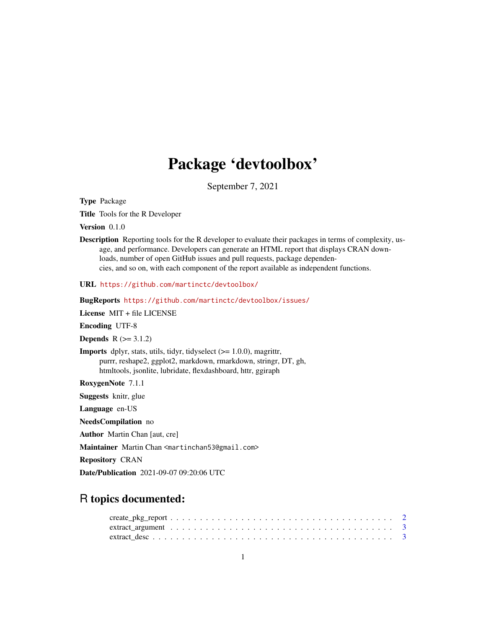# Package 'devtoolbox'

September 7, 2021

Type Package

Title Tools for the R Developer

Version 0.1.0

Description Reporting tools for the R developer to evaluate their packages in terms of complexity, usage, and performance. Developers can generate an HTML report that displays CRAN downloads, number of open GitHub issues and pull requests, package dependencies, and so on, with each component of the report available as independent functions.

URL <https://github.com/martinctc/devtoolbox/>

BugReports <https://github.com/martinctc/devtoolbox/issues/>

License MIT + file LICENSE

Encoding UTF-8

**Depends**  $R$  ( $> = 3.1.2$ )

**Imports** dplyr, stats, utils, tidyr, tidyselect  $(>= 1.0.0)$ , magrittr, purrr, reshape2, ggplot2, markdown, rmarkdown, stringr, DT, gh, htmltools, jsonlite, lubridate, flexdashboard, httr, ggiraph

RoxygenNote 7.1.1

Suggests knitr, glue

Language en-US

NeedsCompilation no

Author Martin Chan [aut, cre]

Maintainer Martin Chan <martinchan53@gmail.com>

Repository CRAN

Date/Publication 2021-09-07 09:20:06 UTC

## R topics documented: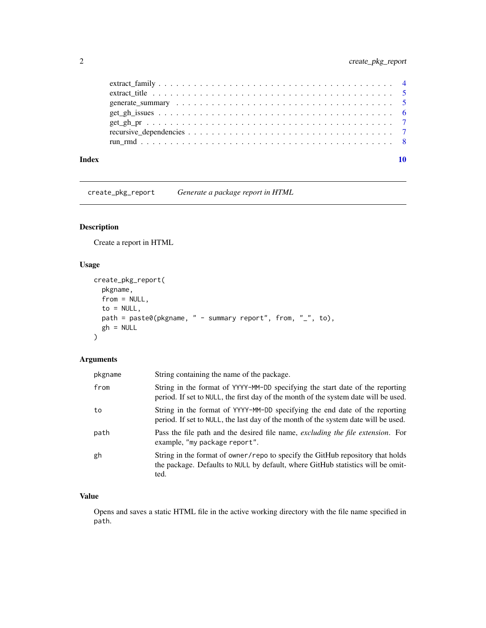<span id="page-1-0"></span>

| Index |  |  |  |  |  |  |  |  |  |  |  |  |  |  |  |  |  |
|-------|--|--|--|--|--|--|--|--|--|--|--|--|--|--|--|--|--|
|       |  |  |  |  |  |  |  |  |  |  |  |  |  |  |  |  |  |
|       |  |  |  |  |  |  |  |  |  |  |  |  |  |  |  |  |  |
|       |  |  |  |  |  |  |  |  |  |  |  |  |  |  |  |  |  |
|       |  |  |  |  |  |  |  |  |  |  |  |  |  |  |  |  |  |
|       |  |  |  |  |  |  |  |  |  |  |  |  |  |  |  |  |  |
|       |  |  |  |  |  |  |  |  |  |  |  |  |  |  |  |  |  |
|       |  |  |  |  |  |  |  |  |  |  |  |  |  |  |  |  |  |

create\_pkg\_report *Generate a package report in HTML*

#### Description

Create a report in HTML

#### Usage

```
create_pkg_report(
  pkgname,
  from = NULL,
  to = NULL,path = paste0(pkgname, " - summary report", from, "_", to),
  gh = NULL\mathcal{L}
```
### Arguments

| pkgname | String containing the name of the package.                                                                                                                                |
|---------|---------------------------------------------------------------------------------------------------------------------------------------------------------------------------|
| from    | String in the format of YYYY-MM-DD specifying the start date of the reporting<br>period. If set to NULL, the first day of the month of the system date will be used.      |
| to      | String in the format of YYYY-MM-DD specifying the end date of the reporting<br>period. If set to NULL, the last day of the month of the system date will be used.         |
| path    | Pass the file path and the desired file name, excluding the file extension. For<br>example, "my package report".                                                          |
| gh      | String in the format of owner/repo to specify the GitHub repository that holds<br>the package. Defaults to NULL by default, where GitHub statistics will be omit-<br>ted. |

#### Value

Opens and saves a static HTML file in the active working directory with the file name specified in path.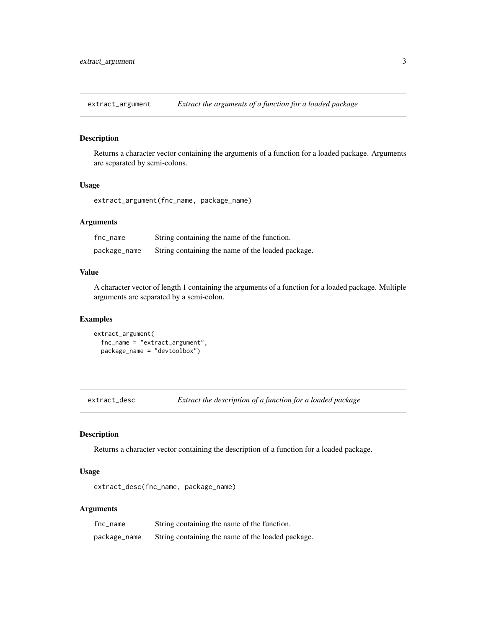<span id="page-2-0"></span>extract\_argument *Extract the arguments of a function for a loaded package*

#### Description

Returns a character vector containing the arguments of a function for a loaded package. Arguments are separated by semi-colons.

#### Usage

extract\_argument(fnc\_name, package\_name)

#### Arguments

| fnc_name     | String containing the name of the function.       |
|--------------|---------------------------------------------------|
| package_name | String containing the name of the loaded package. |

#### Value

A character vector of length 1 containing the arguments of a function for a loaded package. Multiple arguments are separated by a semi-colon.

#### Examples

```
extract_argument(
 fnc_name = "extract_argument",
 package_name = "devtoolbox")
```
extract\_desc *Extract the description of a function for a loaded package*

#### Description

Returns a character vector containing the description of a function for a loaded package.

#### Usage

extract\_desc(fnc\_name, package\_name)

#### Arguments

| fnc_name     | String containing the name of the function.       |
|--------------|---------------------------------------------------|
| package_name | String containing the name of the loaded package. |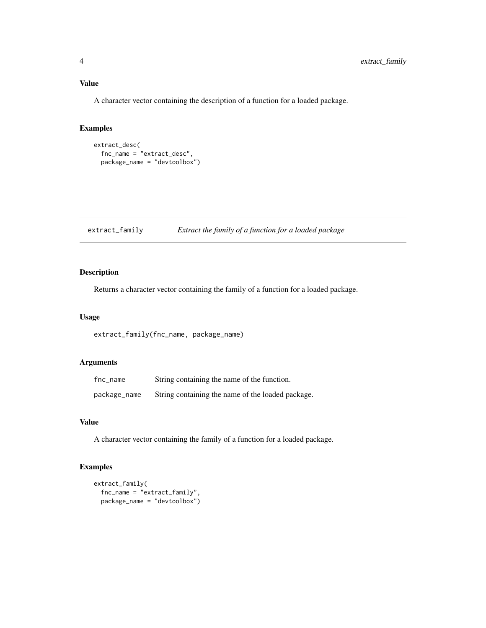#### <span id="page-3-0"></span>Value

A character vector containing the description of a function for a loaded package.

#### Examples

```
extract_desc(
  fnc_name = "extract_desc",
  package_name = "devtoolbox")
```
extract\_family *Extract the family of a function for a loaded package*

#### Description

Returns a character vector containing the family of a function for a loaded package.

#### Usage

extract\_family(fnc\_name, package\_name)

#### Arguments

| fnc_name     | String containing the name of the function.       |
|--------------|---------------------------------------------------|
| package_name | String containing the name of the loaded package. |

#### Value

A character vector containing the family of a function for a loaded package.

#### Examples

```
extract_family(
  fnc_name = "extract_family",
  package_name = "devtoolbox")
```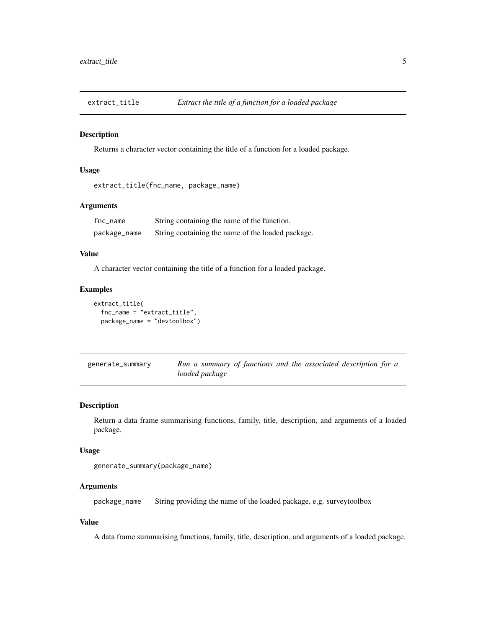<span id="page-4-0"></span>

#### Description

Returns a character vector containing the title of a function for a loaded package.

#### Usage

extract\_title(fnc\_name, package\_name)

#### Arguments

| fnc_name     | String containing the name of the function.       |
|--------------|---------------------------------------------------|
| package_name | String containing the name of the loaded package. |

#### Value

A character vector containing the title of a function for a loaded package.

#### Examples

```
extract_title(
  fnc_name = "extract_title",
  package_name = "devtoolbox")
```

| generate_summary | Run a summary of functions and the associated description for a |  |  |  |
|------------------|-----------------------------------------------------------------|--|--|--|
|                  | loaded package                                                  |  |  |  |

#### **Description**

Return a data frame summarising functions, family, title, description, and arguments of a loaded package.

#### Usage

```
generate_summary(package_name)
```
#### Arguments

package\_name String providing the name of the loaded package, e.g. surveytoolbox

#### Value

A data frame summarising functions, family, title, description, and arguments of a loaded package.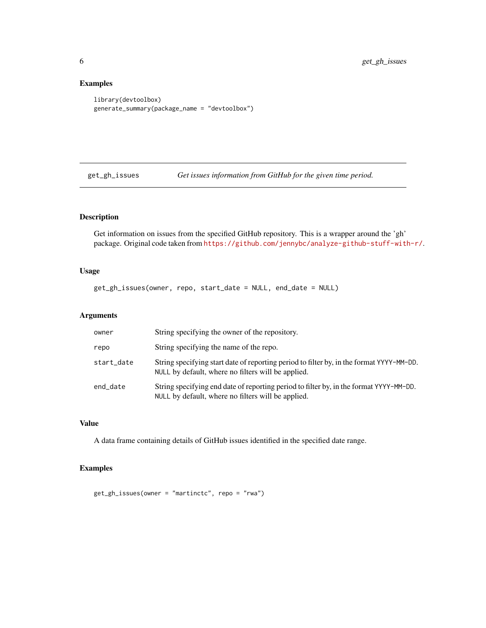#### Examples

```
library(devtoolbox)
generate_summary(package_name = "devtoolbox")
```
get\_gh\_issues *Get issues information from GitHub for the given time period.*

#### Description

Get information on issues from the specified GitHub repository. This is a wrapper around the 'gh' package. Original code taken from <https://github.com/jennybc/analyze-github-stuff-with-r/>.

#### Usage

get\_gh\_issues(owner, repo, start\_date = NULL, end\_date = NULL)

#### Arguments

| owner      | String specifying the owner of the repository.                                                                                                 |
|------------|------------------------------------------------------------------------------------------------------------------------------------------------|
| repo       | String specifying the name of the repo.                                                                                                        |
| start_date | String specifying start date of reporting period to filter by, in the format YYYY-MM-DD.<br>NULL by default, where no filters will be applied. |
| end_date   | String specifying end date of reporting period to filter by, in the format YYYY-MM-DD.<br>NULL by default, where no filters will be applied.   |

#### Value

A data frame containing details of GitHub issues identified in the specified date range.

#### Examples

get\_gh\_issues(owner = "martinctc", repo = "rwa")

<span id="page-5-0"></span>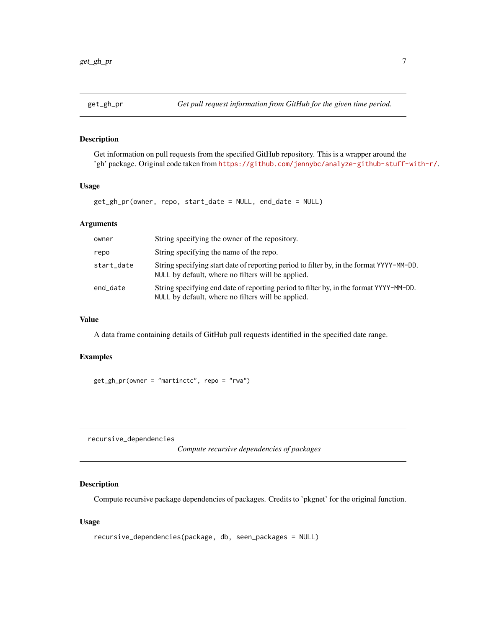<span id="page-6-0"></span>

#### Description

Get information on pull requests from the specified GitHub repository. This is a wrapper around the 'gh' package. Original code taken from <https://github.com/jennybc/analyze-github-stuff-with-r/>.

#### Usage

```
get_gh_pr(owner, repo, start_date = NULL, end_date = NULL)
```
#### Arguments

| owner      | String specifying the owner of the repository.                                                                                                 |
|------------|------------------------------------------------------------------------------------------------------------------------------------------------|
| repo       | String specifying the name of the repo.                                                                                                        |
| start_date | String specifying start date of reporting period to filter by, in the format YYYY-MM-DD.<br>NULL by default, where no filters will be applied. |
| end_date   | String specifying end date of reporting period to filter by, in the format YYYY-MM-DD.<br>NULL by default, where no filters will be applied.   |

#### Value

A data frame containing details of GitHub pull requests identified in the specified date range.

#### Examples

get\_gh\_pr(owner = "martinctc", repo = "rwa")

recursive\_dependencies

*Compute recursive dependencies of packages*

#### Description

Compute recursive package dependencies of packages. Credits to 'pkgnet' for the original function.

#### Usage

```
recursive_dependencies(package, db, seen_packages = NULL)
```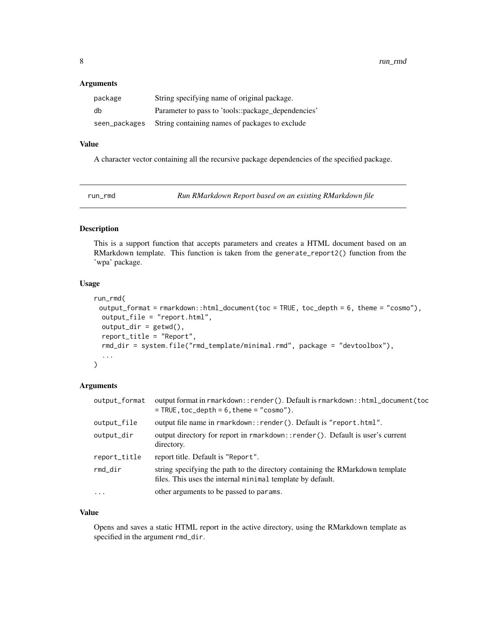#### <span id="page-7-0"></span>Arguments

| package       | String specifying name of original package.        |
|---------------|----------------------------------------------------|
| db            | Parameter to pass to 'tools::package_dependencies' |
| seen_packages | String containing names of packages to exclude     |

#### Value

A character vector containing all the recursive package dependencies of the specified package.

run\_rmd *Run RMarkdown Report based on an existing RMarkdown file*

#### Description

This is a support function that accepts parameters and creates a HTML document based on an RMarkdown template. This function is taken from the generate\_report2() function from the 'wpa' package.

#### Usage

```
run_rmd(
 output_format = rmarkdown::html_document(toc = TRUE, toc_depth = 6, theme = "cosmo"),
 output_file = "report.html",
 output_dir = getwd(),
 report_title = "Report",
  rmd_dir = system.file("rmd_template/minimal.rmd", package = "devtoolbox"),
  ...
)
```
#### Arguments

| output_format | output format in rmarkdown::render(). Default is rmarkdown::html_document(toc<br>$=$ TRUE, toc_depth = 6, theme = "cosmo").                 |
|---------------|---------------------------------------------------------------------------------------------------------------------------------------------|
| output_file   | output file name in rmarkdown:: render(). Default is "report.html".                                                                         |
| output_dir    | output directory for report in rmarkdown::render(). Default is user's current<br>directory.                                                 |
| report_title  | report title. Default is "Report".                                                                                                          |
| $rmd\_dir$    | string specifying the path to the directory containing the RMarkdown template<br>files. This uses the internal minimal template by default. |
| $\cdots$      | other arguments to be passed to params.                                                                                                     |

#### Value

Opens and saves a static HTML report in the active directory, using the RMarkdown template as specified in the argument rmd\_dir.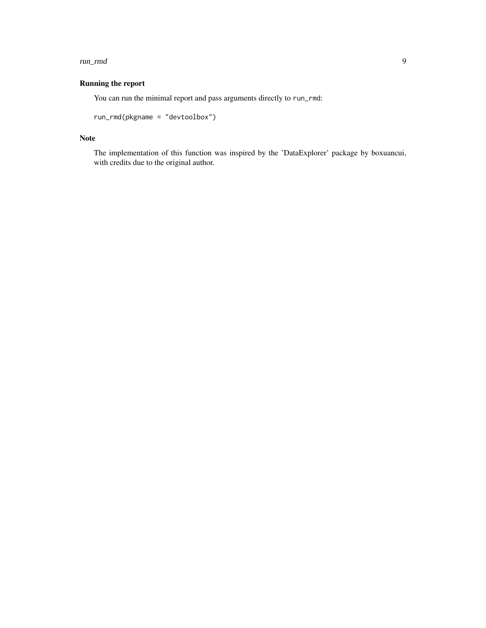#### run\_rmd 9

#### Running the report

You can run the minimal report and pass arguments directly to run\_rmd:

```
run_rmd(pkgname = "devtoolbox")
```
#### Note

The implementation of this function was inspired by the 'DataExplorer' package by boxuancui, with credits due to the original author.